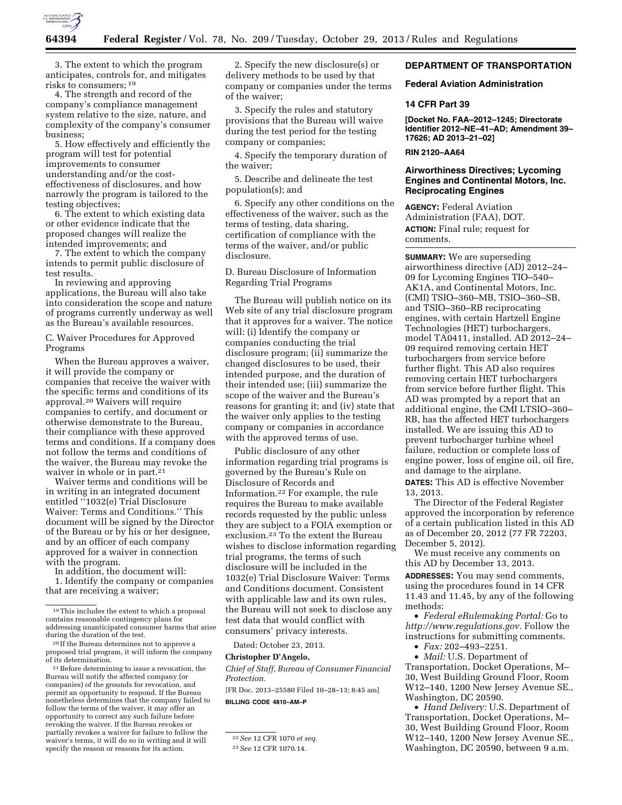

3. The extent to which the program anticipates, controls for, and mitigates risks to consumers; 19

4. The strength and record of the company's compliance management system relative to the size, nature, and complexity of the company's consumer business;

5. How effectively and efficiently the program will test for potential improvements to consumer understanding and/or the costeffectiveness of disclosures, and how narrowly the program is tailored to the testing objectives;

6. The extent to which existing data or other evidence indicate that the proposed changes will realize the intended improvements; and

7. The extent to which the company intends to permit public disclosure of test results.

In reviewing and approving applications, the Bureau will also take into consideration the scope and nature of programs currently underway as well as the Bureau's available resources.

C. Waiver Procedures for Approved Programs

When the Bureau approves a waiver, it will provide the company or companies that receive the waiver with the specific terms and conditions of its approval.20 Waivers will require companies to certify, and document or otherwise demonstrate to the Bureau, their compliance with these approved terms and conditions. If a company does not follow the terms and conditions of the waiver, the Bureau may revoke the waiver in whole or in part.<sup>21</sup>

Waiver terms and conditions will be in writing in an integrated document entitled ''1032(e) Trial Disclosure Waiver: Terms and Conditions.'' This document will be signed by the Director of the Bureau or by his or her designee, and by an officer of each company approved for a waiver in connection with the program.

In addition, the document will:

1. Identify the company or companies that are receiving a waiver;

 $^{\rm 21}$  Before determining to issue a revocation, the Bureau will notify the affected company (or companies) of the grounds for revocation, and permit an opportunity to respond. If the Bureau nonetheless determines that the company failed to follow the terms of the waiver, it may offer an opportunity to correct any such failure before revoking the waiver. If the Bureau revokes or partially revokes a waiver for failure to follow the waiver's terms, it will do so in writing and it will specify the reason or reasons for its action.

2. Specify the new disclosure(s) or delivery methods to be used by that company or companies under the terms of the waiver;

3. Specify the rules and statutory provisions that the Bureau will waive during the test period for the testing company or companies;

4. Specify the temporary duration of the waiver;

5. Describe and delineate the test population(s); and

6. Specify any other conditions on the effectiveness of the waiver, such as the terms of testing, data sharing, certification of compliance with the terms of the waiver, and/or public disclosure.

D. Bureau Disclosure of Information Regarding Trial Programs

The Bureau will publish notice on its Web site of any trial disclosure program that it approves for a waiver. The notice will: (i) Identify the company or companies conducting the trial disclosure program; (ii) summarize the changed disclosures to be used, their intended purpose, and the duration of their intended use; (iii) summarize the scope of the waiver and the Bureau's reasons for granting it; and (iv) state that the waiver only applies to the testing company or companies in accordance with the approved terms of use.

Public disclosure of any other information regarding trial programs is governed by the Bureau's Rule on Disclosure of Records and Information.22 For example, the rule requires the Bureau to make available records requested by the public unless they are subject to a FOIA exemption or exclusion.23 To the extent the Bureau wishes to disclose information regarding trial programs, the terms of such disclosure will be included in the 1032(e) Trial Disclosure Waiver: Terms and Conditions document. Consistent with applicable law and its own rules, the Bureau will not seek to disclose any test data that would conflict with consumers' privacy interests.

Dated: October 23, 2013.

#### **Christopher D'Angelo,**

*Chief of Staff, Bureau of Consumer Financial Protection.* 

[FR Doc. 2013–25580 Filed 10–28–13; 8:45 am] **BILLING CODE 4810–AM–P** 

### **DEPARTMENT OF TRANSPORTATION**

#### **Federal Aviation Administration**

#### **14 CFR Part 39**

**[Docket No. FAA–2012–1245; Directorate Identifier 2012–NE–41–AD; Amendment 39– 17626; AD 2013–21–02]** 

### **RIN 2120–AA64**

## **Airworthiness Directives; Lycoming Engines and Continental Motors, Inc. Reciprocating Engines**

**AGENCY:** Federal Aviation Administration (FAA), DOT. **ACTION:** Final rule; request for comments.

**SUMMARY:** We are superseding airworthiness directive (AD) 2012–24– 09 for Lycoming Engines TIO–540– AK1A, and Continental Motors, Inc. (CMI) TSIO–360–MB, TSIO–360–SB, and TSIO–360–RB reciprocating engines, with certain Hartzell Engine Technologies (HET) turbochargers, model TA0411, installed. AD 2012–24– 09 required removing certain HET turbochargers from service before further flight. This AD also requires removing certain HET turbochargers from service before further flight. This AD was prompted by a report that an additional engine, the CMI LTSIO–360– RB, has the affected HET turbochargers installed. We are issuing this AD to prevent turbocharger turbine wheel failure, reduction or complete loss of engine power, loss of engine oil, oil fire, and damage to the airplane.

**DATES:** This AD is effective November 13, 2013.

The Director of the Federal Register approved the incorporation by reference of a certain publication listed in this AD as of December 20, 2012 (77 FR 72203, December 5, 2012).

We must receive any comments on this AD by December 13, 2013.

**ADDRESSES:** You may send comments, using the procedures found in 14 CFR 11.43 and 11.45, by any of the following methods:

• *Federal eRulemaking Portal:* Go to *[http://www.regulations.gov.](http://www.regulations.gov)* Follow the instructions for submitting comments.

• *Fax:* 202–493–2251.

• *Mail:* U.S. Department of Transportation, Docket Operations, M– 30, West Building Ground Floor, Room W12–140, 1200 New Jersey Avenue SE., Washington, DC 20590.

• *Hand Delivery:* U.S. Department of Transportation, Docket Operations, M– 30, West Building Ground Floor, Room W12–140, 1200 New Jersey Avenue SE., Washington, DC 20590, between 9 a.m.

<sup>19</sup>This includes the extent to which a proposal contains reasonable contingency plans for addressing unanticipated consumer harms that arise

<sup>&</sup>lt;sup>20</sup> If the Bureau determines not to approve a proposed trial program, it will inform the company<br>of its determination.

<sup>22</sup>*See* 12 CFR 1070 *et seq.* 

<sup>23</sup>*See* 12 CFR 1070.14.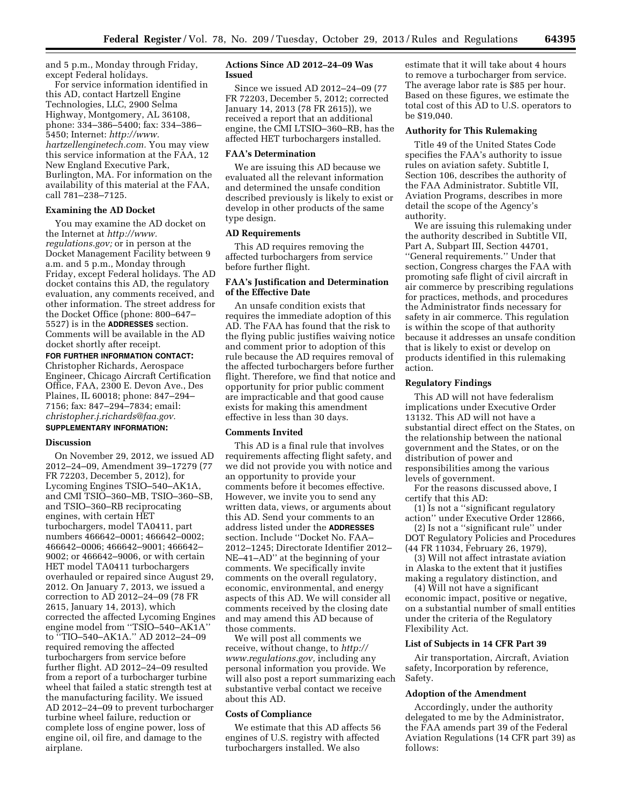and 5 p.m., Monday through Friday, except Federal holidays.

For service information identified in this AD, contact Hartzell Engine Technologies, LLC, 2900 Selma Highway, Montgomery, AL 36108, phone: 334–386–5400; fax: 334–386– 5450; Internet: *[http://www.](http://www.hartzellenginetech.com)  [hartzellenginetech.com.](http://www.hartzellenginetech.com)* You may view this service information at the FAA, 12 New England Executive Park, Burlington, MA. For information on the availability of this material at the FAA, call 781–238–7125.

## **Examining the AD Docket**

You may examine the AD docket on the Internet at *[http://www.](http://www.regulations.gov)  [regulations.gov;](http://www.regulations.gov)* or in person at the Docket Management Facility between 9 a.m. and 5 p.m., Monday through Friday, except Federal holidays. The AD docket contains this AD, the regulatory evaluation, any comments received, and other information. The street address for the Docket Office (phone: 800–647– 5527) is in the **ADDRESSES** section. Comments will be available in the AD docket shortly after receipt.

**FOR FURTHER INFORMATION CONTACT:**  Christopher Richards, Aerospace Engineer, Chicago Aircraft Certification Office, FAA, 2300 E. Devon Ave., Des Plaines, IL 60018; phone: 847–294– 7156; fax: 847–294–7834; email: *[christopher.j.richards@faa.gov.](mailto:christopher.j.richards@faa.gov)*  **SUPPLEMENTARY INFORMATION:** 

# **Discussion**

On November 29, 2012, we issued AD 2012–24–09, Amendment 39–17279 (77 FR 72203, December 5, 2012), for Lycoming Engines TSIO–540–AK1A, and CMI TSIO–360–MB, TSIO–360–SB, and TSIO–360–RB reciprocating engines, with certain HET turbochargers, model TA0411, part numbers 466642–0001; 466642–0002; 466642–0006; 466642–9001; 466642– 9002; or 466642–9006, or with certain HET model TA0411 turbochargers overhauled or repaired since August 29, 2012. On January 7, 2013, we issued a correction to AD 2012–24–09 (78 FR 2615, January 14, 2013), which corrected the affected Lycoming Engines engine model from ''TSIO–540–AK1A'' to ''TIO–540–AK1A.'' AD 2012–24–09 required removing the affected turbochargers from service before further flight. AD 2012–24–09 resulted from a report of a turbocharger turbine wheel that failed a static strength test at the manufacturing facility. We issued AD 2012–24–09 to prevent turbocharger turbine wheel failure, reduction or complete loss of engine power, loss of engine oil, oil fire, and damage to the airplane.

## **Actions Since AD 2012–24–09 Was Issued**

Since we issued AD 2012–24–09 (77 FR 72203, December 5, 2012; corrected January 14, 2013 (78 FR 2615)), we received a report that an additional engine, the CMI LTSIO–360–RB, has the affected HET turbochargers installed.

#### **FAA's Determination**

We are issuing this AD because we evaluated all the relevant information and determined the unsafe condition described previously is likely to exist or develop in other products of the same type design.

#### **AD Requirements**

This AD requires removing the affected turbochargers from service before further flight.

### **FAA's Justification and Determination of the Effective Date**

An unsafe condition exists that requires the immediate adoption of this AD. The FAA has found that the risk to the flying public justifies waiving notice and comment prior to adoption of this rule because the AD requires removal of the affected turbochargers before further flight. Therefore, we find that notice and opportunity for prior public comment are impracticable and that good cause exists for making this amendment effective in less than 30 days.

#### **Comments Invited**

This AD is a final rule that involves requirements affecting flight safety, and we did not provide you with notice and an opportunity to provide your comments before it becomes effective. However, we invite you to send any written data, views, or arguments about this AD. Send your comments to an address listed under the **ADDRESSES** section. Include ''Docket No. FAA– 2012–1245; Directorate Identifier 2012– NE–41–AD'' at the beginning of your comments. We specifically invite comments on the overall regulatory, economic, environmental, and energy aspects of this AD. We will consider all comments received by the closing date and may amend this AD because of those comments.

We will post all comments we receive, without change, to *[http://](http://www.regulations.gov) [www.regulations.gov,](http://www.regulations.gov)* including any personal information you provide. We will also post a report summarizing each substantive verbal contact we receive about this AD.

### **Costs of Compliance**

We estimate that this AD affects 56 engines of U.S. registry with affected turbochargers installed. We also

estimate that it will take about 4 hours to remove a turbocharger from service. The average labor rate is \$85 per hour. Based on these figures, we estimate the total cost of this AD to U.S. operators to be \$19,040.

#### **Authority for This Rulemaking**

Title 49 of the United States Code specifies the FAA's authority to issue rules on aviation safety. Subtitle I, Section 106, describes the authority of the FAA Administrator. Subtitle VII, Aviation Programs, describes in more detail the scope of the Agency's authority.

We are issuing this rulemaking under the authority described in Subtitle VII, Part A, Subpart III, Section 44701, ''General requirements.'' Under that section, Congress charges the FAA with promoting safe flight of civil aircraft in air commerce by prescribing regulations for practices, methods, and procedures the Administrator finds necessary for safety in air commerce. This regulation is within the scope of that authority because it addresses an unsafe condition that is likely to exist or develop on products identified in this rulemaking action.

### **Regulatory Findings**

This AD will not have federalism implications under Executive Order 13132. This AD will not have a substantial direct effect on the States, on the relationship between the national government and the States, or on the distribution of power and responsibilities among the various levels of government.

For the reasons discussed above, I certify that this AD:

(1) Is not a ''significant regulatory action'' under Executive Order 12866,

(2) Is not a ''significant rule'' under DOT Regulatory Policies and Procedures (44 FR 11034, February 26, 1979),

(3) Will not affect intrastate aviation in Alaska to the extent that it justifies making a regulatory distinction, and

(4) Will not have a significant economic impact, positive or negative, on a substantial number of small entities under the criteria of the Regulatory Flexibility Act.

### **List of Subjects in 14 CFR Part 39**

Air transportation, Aircraft, Aviation safety, Incorporation by reference, Safety.

#### **Adoption of the Amendment**

Accordingly, under the authority delegated to me by the Administrator, the FAA amends part 39 of the Federal Aviation Regulations (14 CFR part 39) as follows: